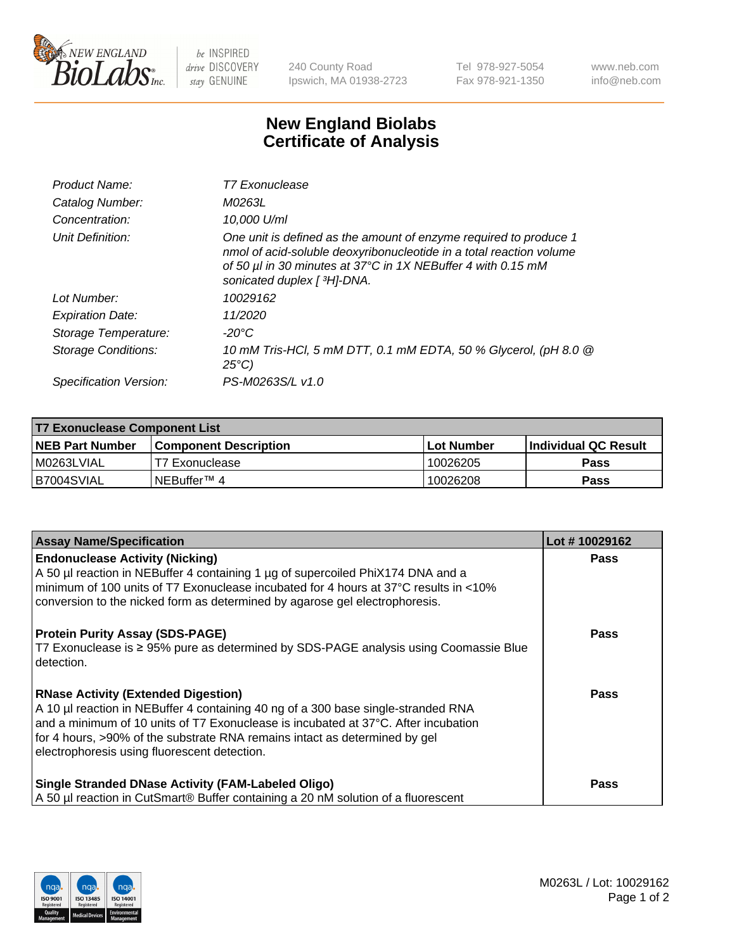

 $be$  INSPIRED drive DISCOVERY stay GENUINE

240 County Road Ipswich, MA 01938-2723 Tel 978-927-5054 Fax 978-921-1350 www.neb.com info@neb.com

## **New England Biolabs Certificate of Analysis**

| Product Name:              | T7 Exonuclease                                                                                                                                                                                                                          |
|----------------------------|-----------------------------------------------------------------------------------------------------------------------------------------------------------------------------------------------------------------------------------------|
| Catalog Number:            | M0263L                                                                                                                                                                                                                                  |
| Concentration:             | 10,000 U/ml                                                                                                                                                                                                                             |
| Unit Definition:           | One unit is defined as the amount of enzyme required to produce 1<br>nmol of acid-soluble deoxyribonucleotide in a total reaction volume<br>of 50 µl in 30 minutes at 37°C in 1X NEBuffer 4 with 0.15 mM<br>sonicated duplex [ 3H]-DNA. |
| Lot Number:                | 10029162                                                                                                                                                                                                                                |
| <b>Expiration Date:</b>    | 11/2020                                                                                                                                                                                                                                 |
| Storage Temperature:       | $-20^{\circ}$ C                                                                                                                                                                                                                         |
| <b>Storage Conditions:</b> | 10 mM Tris-HCl, 5 mM DTT, 0.1 mM EDTA, 50 % Glycerol, (pH 8.0 @<br>$25^{\circ}C$                                                                                                                                                        |
| Specification Version:     | PS-M0263S/L v1.0                                                                                                                                                                                                                        |

| T7 Exonuclease Component List |                       |                   |                       |  |
|-------------------------------|-----------------------|-------------------|-----------------------|--|
| NEB Part Number               | Component Description | <b>Lot Number</b> | ∣Individual QC Result |  |
| M0263LVIAL                    | T7 Exonuclease        | 10026205          | <b>Pass</b>           |  |
| B7004SVIAL                    | INEBuffer™ 4          | 10026208          | <b>Pass</b>           |  |

| <b>Assay Name/Specification</b>                                                                                                                                                                                                                                                                                                                     | Lot #10029162 |
|-----------------------------------------------------------------------------------------------------------------------------------------------------------------------------------------------------------------------------------------------------------------------------------------------------------------------------------------------------|---------------|
| <b>Endonuclease Activity (Nicking)</b><br>A 50 µl reaction in NEBuffer 4 containing 1 µg of supercoiled PhiX174 DNA and a<br>minimum of 100 units of T7 Exonuclease incubated for 4 hours at 37°C results in <10%<br>conversion to the nicked form as determined by agarose gel electrophoresis.                                                    | <b>Pass</b>   |
| <b>Protein Purity Assay (SDS-PAGE)</b><br>T7 Exonuclease is ≥ 95% pure as determined by SDS-PAGE analysis using Coomassie Blue<br>l detection.                                                                                                                                                                                                      | <b>Pass</b>   |
| <b>RNase Activity (Extended Digestion)</b><br>A 10 µl reaction in NEBuffer 4 containing 40 ng of a 300 base single-stranded RNA<br>and a minimum of 10 units of T7 Exonuclease is incubated at 37°C. After incubation<br>for 4 hours, >90% of the substrate RNA remains intact as determined by gel<br>electrophoresis using fluorescent detection. | Pass          |
| <b>Single Stranded DNase Activity (FAM-Labeled Oligo)</b><br>A 50 µl reaction in CutSmart® Buffer containing a 20 nM solution of a fluorescent                                                                                                                                                                                                      | <b>Pass</b>   |